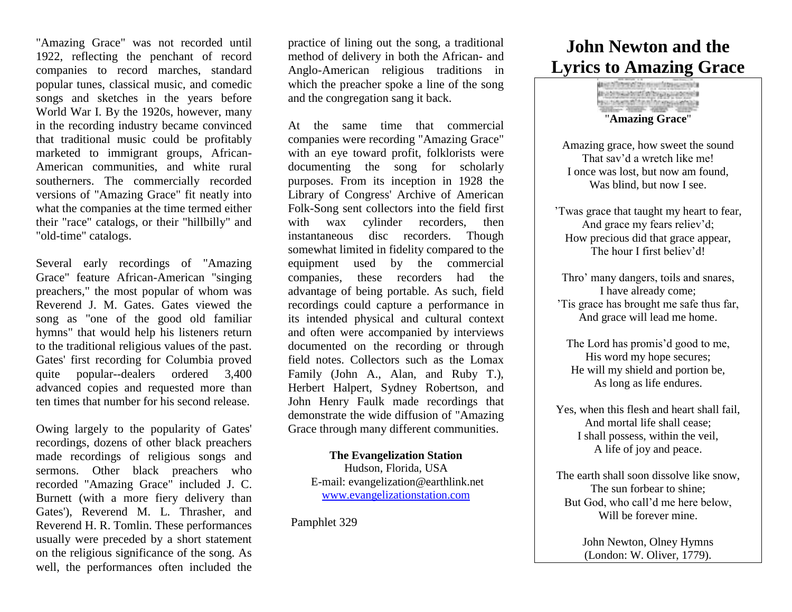"Amazing Grace" was not recorded until 1922, reflecting the penchant of record companies to record marches, standard popular tunes, classical music, and comedic songs and sketches in the years before World War I. By the 1920s, however, many in the recording industry became convinced that traditional music could be profitably marketed to immigrant groups, African-American communities, and white rural southerners. The commercially recorded versions of "Amazing Grace" fit neatly into what the companies at the time termed either their "race" catalogs, or their "hillbilly" and "old-time" catalogs.

Several early recordings of "Amazing Grace" feature African-American "singing preachers," the most popular of whom was Reverend J. M. Gates. Gates viewed the song as "one of the good old familiar hymns" that would help his listeners return to the traditional religious values of the past. Gates' first recording for Columbia proved quite popular--dealers ordered 3,400 advanced copies and requested more than ten times that number for his second release.

Owing largely to the popularity of Gates' recordings, dozens of other black preachers made recordings of religious songs and sermons. Other black preachers who recorded "Amazing Grace" included J. C. Burnett (with a more fiery delivery than Gates'), Reverend M. L. Thrasher, and Reverend H. R. Tomlin. These performances usually were preceded by a short statement on the religious significance of the song. As well, the performances often included the practice of lining out the song, a traditional method of delivery in both the African- and Anglo-American religious traditions in which the preacher spoke a line of the song and the congregation sang it back.

At the same time that commercial companies were recording "Amazing Grace" with an eye toward profit, folklorists were documenting the song for scholarly purposes. From its inception in 1928 the Library of Congress' Archive of American Folk-Song sent collectors into the field first with wax cylinder recorders, then instantaneous disc recorders. Though somewhat limited in fidelity compared to the equipment used by the commercial companies, these recorders had the advantage of being portable. As such, field recordings could capture a performance in its intended physical and cultural context and often were accompanied by interviews documented on the recording or through field notes. Collectors such as the Lomax Family (John A., Alan, and Ruby T.), Herbert Halpert, Sydney Robertson, and John Henry Faulk made recordings that demonstrate the wide diffusion of "Amazing Grace through many different communities.

**The Evangelization Station** Hudson, Florida, USA E-mail: evangelization@earthlink.net [www.evangelizationstation.com](http://www.pjpiisoe.org/)

Pamphlet 329

## **John Newton and the Lyrics to Amazing Grace**



Amazing grace, how sweet the sound That sav'd a wretch like me! I once was lost, but now am found, Was blind, but now I see.

'Twas grace that taught my heart to fear, And grace my fears reliev'd; How precious did that grace appear, The hour I first believ'd!

Thro' many dangers, toils and snares, I have already come; 'Tis grace has brought me safe thus far, And grace will lead me home.

The Lord has promis'd good to me, His word my hope secures; He will my shield and portion be, As long as life endures.

Yes, when this flesh and heart shall fail, And mortal life shall cease; I shall possess, within the veil, A life of joy and peace.

The earth shall soon dissolve like snow, The sun forbear to shine; But God, who call'd me here below, Will be forever mine.

> John Newton, Olney Hymns (London: W. Oliver, 1779).